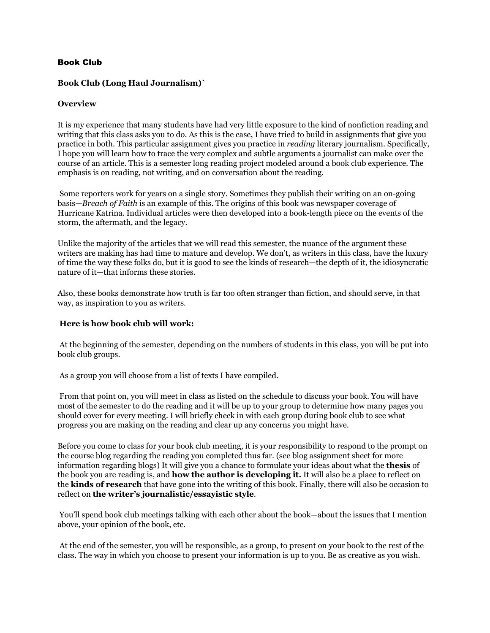### Book Club

### **Book Club (Long Haul Journalism)`**

#### **Overview**

It is my experience that many students have had very little exposure to the kind of nonfiction reading and writing that this class asks you to do. As this is the case, I have tried to build in assignments that give you practice in both. This particular assignment gives you practice in *reading* literary journalism. Specifically, I hope you will learn how to trace the very complex and subtle arguments a journalist can make over the course of an article. This is a semester long reading project modeled around a book club experience. The emphasis is on reading, not writing, and on conversation about the reading.

Some reporters work for years on a single story. Sometimes they publish their writing on an on-going basis—*Breach of Faith* is an example of this. The origins of this book was newspaper coverage of Hurricane Katrina. Individual articles were then developed into a book-length piece on the events of the storm, the aftermath, and the legacy.

Unlike the majority of the articles that we will read this semester, the nuance of the argument these writers are making has had time to mature and develop. We don't, as writers in this class, have the luxury of time the way these folks do, but it is good to see the kinds of research—the depth of it, the idiosyncratic nature of it—that informs these stories.

Also, these books demonstrate how truth is far too often stranger than fiction, and should serve, in that way, as inspiration to you as writers.

#### **Here is how book club will work:**

At the beginning of the semester, depending on the numbers of students in this class, you will be put into book club groups.

As a group you will choose from a list of texts I have compiled.

From that point on, you will meet in class as listed on the schedule to discuss your book. You will have most of the semester to do the reading and it will be up to your group to determine how many pages you should cover for every meeting. I will briefly check in with each group during book club to see what progress you are making on the reading and clear up any concerns you might have.

Before you come to class for your book club meeting, it is your responsibility to respond to the prompt on the course blog regarding the reading you completed thus far. (see blog assignment sheet for more information regarding blogs) It will give you a chance to formulate your ideas about what the **thesis** of the book you are reading is, and **how the author is developing it.** It will also be a place to reflect on the **kinds of research** that have gone into the writing of this book. Finally, there will also be occasion to reflect on **the writer's journalistic/essayistic style**.

You'll spend book club meetings talking with each other about the book—about the issues that I mention above, your opinion of the book, etc.

At the end of the semester, you will be responsible, as a group, to present on your book to the rest of the class. The way in which you choose to present your information is up to you. Be as creative as you wish.